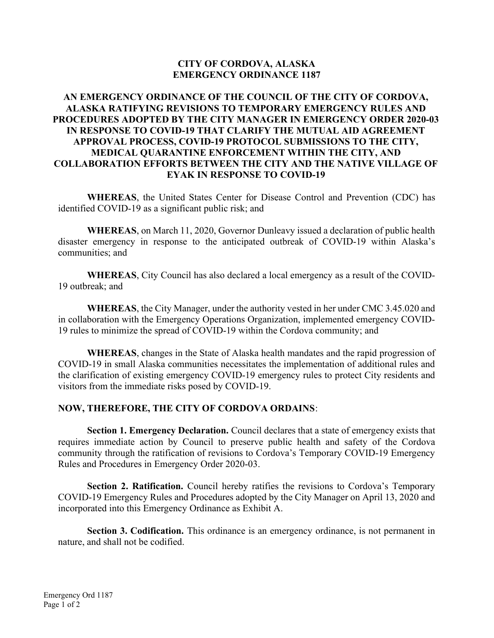## CITY OF CORDOVA, ALASKA EMERGENCY ORDINANCE 1187

## AN EMERGENCY ORDINANCE OF THE COUNCIL OF THE CITY OF CORDOVA, ALASKA RATIFYING REVISIONS TO TEMPORARY EMERGENCY RULES AND PROCEDURES ADOPTED BY THE CITY MANAGER IN EMERGENCY ORDER 2020-03 IN RESPONSE TO COVID-19 THAT CLARIFY THE MUTUAL AID AGREEMENT APPROVAL PROCESS, COVID-19 PROTOCOL SUBMISSIONS TO THE CITY, MEDICAL QUARANTINE ENFORCEMENT WITHIN THE CITY, AND COLLABORATION EFFORTS BETWEEN THE CITY AND THE NATIVE VILLAGE OF EYAK IN RESPONSE TO COVID-19

WHEREAS, the United States Center for Disease Control and Prevention (CDC) has identified COVID-19 as a significant public risk; and

WHEREAS, on March 11, 2020, Governor Dunleavy issued a declaration of public health disaster emergency in response to the anticipated outbreak of COVID-19 within Alaska's communities; and

WHEREAS, City Council has also declared a local emergency as a result of the COVID-19 outbreak; and

WHEREAS, the City Manager, under the authority vested in her under CMC 3.45.020 and in collaboration with the Emergency Operations Organization, implemented emergency COVID-19 rules to minimize the spread of COVID-19 within the Cordova community; and

WHEREAS, changes in the State of Alaska health mandates and the rapid progression of COVID-19 in small Alaska communities necessitates the implementation of additional rules and the clarification of existing emergency COVID-19 emergency rules to protect City residents and visitors from the immediate risks posed by COVID-19.

## NOW, THEREFORE, THE CITY OF CORDOVA ORDAINS:

Section 1. Emergency Declaration. Council declares that a state of emergency exists that requires immediate action by Council to preserve public health and safety of the Cordova community through the ratification of revisions to Cordova's Temporary COVID-19 Emergency Rules and Procedures in Emergency Order 2020-03.

Section 2. Ratification. Council hereby ratifies the revisions to Cordova's Temporary COVID-19 Emergency Rules and Procedures adopted by the City Manager on April 13, 2020 and incorporated into this Emergency Ordinance as Exhibit A.

Section 3. Codification. This ordinance is an emergency ordinance, is not permanent in nature, and shall not be codified.